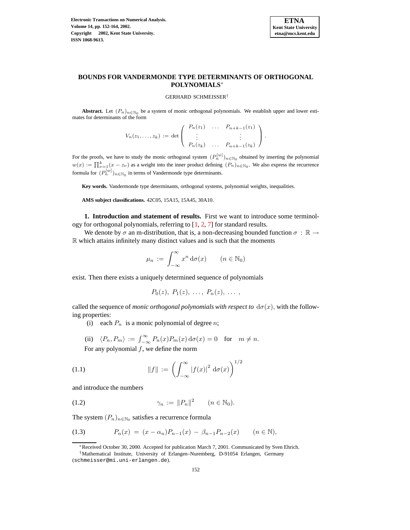**Electronic Transactions on Numerical Analysis. Volume 14, pp. 152-164, 2002. Copyright 2002, Kent State University. ISSN 1068-9613.**



# **BOUNDS FOR VANDERMONDE TYPE DETERMINANTS OF ORTHOGONAL POLYNOMIALS**<sup>∗</sup>

#### GERHARD SCHMEISSER†

**Abstract.** Let  $(P_n)_{n \in \mathbb{N}_0}$  be a system of monic orthogonal polynomials. We establish upper and lower estimates for determinants of the form

$$
V_n(z_1,...,z_k) := \det \begin{pmatrix} P_n(z_1) & \dots & P_{n+k-1}(z_1) \\ \vdots & & \vdots \\ P_n(z_k) & \dots & P_{n+k-1}(z_k) \end{pmatrix}.
$$

For the proofs, we have to study the monic orthogonal system  $(P_n^{[w]})_{n \in \mathbb{N}_0}$  obtained by inserting the polynomial  $w(x) := \prod_{\nu=1}^k (x - z_{\nu})$  as a weight into the inner product defining  $(P_n)_{n \in \mathbb{N}_0}$ . We also express the recurrence formula for  $(P_n^{[w]})_{n \in \mathbb{N}_0}$  in terms of Vandermonde type determinants.

**Key words.** Vandermonde type determinants, orthogonal systems, polynomial weights, inequalities.

**AMS subject classifications.** 42C05, 15A15, 15A45, 30A10.

**1. Introduction and statement of results.** First we want to introduce some terminology for orthogonal polynomials, referring to [\[1,](#page-12-0) [2,](#page-12-1) [7\]](#page-12-2) for standard results.

We denote by  $\sigma$  an m-distribution, that is, a non-decreasing bounded function  $\sigma : \mathbb{R} \to$  $\mathbb R$  which attains infinitely many distinct values and is such that the moments

$$
\mu_n := \int_{-\infty}^{\infty} x^n \, \mathrm{d}\sigma(x) \qquad (n \in \mathbb{N}_0)
$$

exist. Then there exists a uniquely determined sequence of polynomials

$$
P_0(z), P_1(z), \ldots, P_n(z), \ldots,
$$

called the sequence of *monic orthogonal polynomials with respect* to  $d\sigma(x)$ , with the following properties:

(i) each  $P_n$  is a monic polynomial of degree *n*;

(ii) 
$$
\langle P_n, P_m \rangle := \int_{-\infty}^{\infty} P_n(x) P_m(x) d\sigma(x) = 0
$$
 for  $m \neq n$ .

For any polynomial  $f$ , we define the norm

(1.1) 
$$
||f|| := \left(\int_{-\infty}^{\infty} |f(x)|^2 d\sigma(x)\right)^{1/2}
$$

<span id="page-0-0"></span>and introduce the numbers

$$
\gamma_n := ||P_n||^2 \qquad (n \in \mathbb{N}_0).
$$

<span id="page-0-1"></span>The system  $(P_n)_{n \in \mathbb{N}_0}$  satisfies a recurrence formula

(1.3) 
$$
P_n(x) = (x - \alpha_n)P_{n-1}(x) - \beta_{n-1}P_{n-2}(x) \qquad (n \in \mathbb{N}),
$$

<sup>∗</sup>Received October 30, 2000. Accepted for publication March 7, 2001. Communicated by Sven Ehrich.

<sup>†</sup>Mathematical Institute, University of Erlangen–Nuremberg, D-91054 Erlangen, Germany

<sup>(</sup>schmeisser@mi.uni-erlangen.de).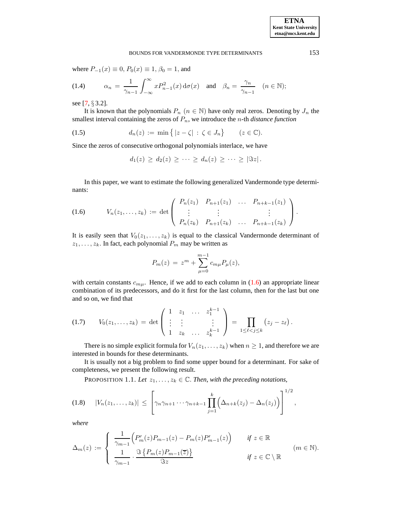where  $P_{-1}(x) \equiv 0$ ,  $P_0(x) \equiv 1$ ,  $\beta_0 = 1$ , and

<span id="page-1-3"></span>(1.4) 
$$
\alpha_n = \frac{1}{\gamma_{n-1}} \int_{-\infty}^{\infty} x P_{n-1}^2(x) d\sigma(x) \text{ and } \beta_n = \frac{\gamma_n}{\gamma_{n-1}} \quad (n \in \mathbb{N});
$$

see [\[7,](#page-12-2) § 3.2].

It is known that the polynomials  $P_n$  ( $n \in \mathbb{N}$ ) have only real zeros. Denoting by  $J_n$  the smallest interval containing the zeros of  $P_n$ , we introduce the *n*-th *distance function* 

<span id="page-1-2"></span>
$$
(1.5) \t\t d_n(z) := \min\{|z - \zeta| : \zeta \in J_n\} \t (z \in \mathbb{C}).
$$

Since the zeros of consecutive orthogonal polynomials interlace, we have

$$
d_1(z) \geq d_2(z) \geq \cdots \geq d_n(z) \geq \cdots \geq |\Im z|.
$$

In this paper, we want to estimate the following generalized Vandermonde type determinants:

<span id="page-1-0"></span>
$$
(1.6) \t V_n(z_1,\ldots,z_k) := \det \begin{pmatrix} P_n(z_1) & P_{n+1}(z_1) & \ldots & P_{n+k-1}(z_1) \\ \vdots & \vdots & & \vdots \\ P_n(z_k) & P_{n+1}(z_k) & \ldots & P_{n+k-1}(z_k) \end{pmatrix}.
$$

It is easily seen that  $V_0(z_1, \ldots, z_k)$  is equal to the classical Vandermonde determinant of  $z_1, \ldots, z_k$ . In fact, each polynomial  $P_m$  may be written as

$$
P_m(z) = z^m + \sum_{\mu=0}^{m-1} c_{m\mu} P_\mu(z),
$$

with certain constants  $c_{m\mu}$ . Hence, if we add to each column in [\(1.6\)](#page-1-0) an appropriate linear combination of its predecessors, and do it first for the last column, then for the last but one and so on, we find that

<span id="page-1-1"></span>
$$
(1.7) \tV_0(z_1,\ldots,z_k) = \det \begin{pmatrix} 1 & z_1 & \ldots & z_1^{k-1} \\ \vdots & \vdots & & \vdots \\ 1 & z_k & \ldots & z_k^{k-1} \end{pmatrix} = \prod_{1 \leq \ell < j \leq k} (z_j - z_\ell).
$$

There is no simple explicit formula for  $V_n(z_1, \ldots, z_k)$  when  $n \geq 1$ , and therefore we are interested in bounds for these determinants.

<span id="page-1-4"></span>It is usually not a big problem to find some upper bound for a determinant. For sake of completeness, we present the following result.

PROPOSITION 1.1. Let  $z_1, \ldots, z_k \in \mathbb{C}$ . Then, with the preceding notations,

<span id="page-1-5"></span>
$$
(1.8) \quad |V_n(z_1,\ldots,z_k)| \leq \left[\gamma_n \gamma_{n+1} \cdots \gamma_{n+k-1} \prod_{j=1}^k \left(\Delta_{n+k}(z_j) - \Delta_n(z_j)\right)\right]^{1/2},
$$

*where*

$$
\Delta_m(z) := \begin{cases} \frac{1}{\gamma_{m-1}} \Big( P'_m(z) P_{m-1}(z) - P_m(z) P'_{m-1}(z) \Big) & \text{if } z \in \mathbb{R} \\ \frac{1}{\gamma_{m-1}} \cdot \frac{\Im\left\{ P_m(z) P_{m-1}(\overline{z}) \right\}}{\Im z} & \text{if } z \in \mathbb{C} \setminus \mathbb{R} \end{cases} \tag{m \in \mathbb{N}}.
$$

**ETNA Kent State University etna@mcs.kent.edu**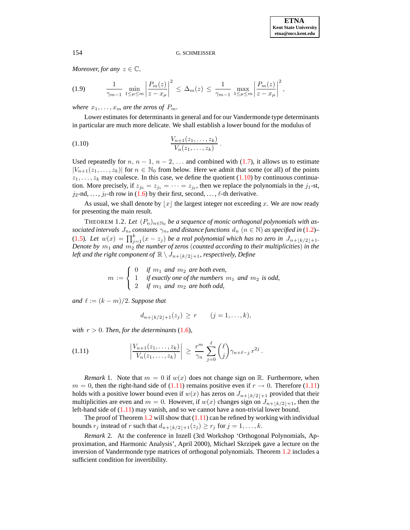*Moreover, for any*  $z \in \mathbb{C}$ ,

<span id="page-2-3"></span>
$$
(1.9) \qquad \frac{1}{\gamma_{m-1}} \min_{1 \leq \mu \leq m} \left| \frac{P_m(z)}{z - x_{\mu}} \right|^2 \leq \Delta_m(z) \leq \frac{1}{\gamma_{m-1}} \max_{1 \leq \mu \leq m} \left| \frac{P_m(z)}{z - x_{\mu}} \right|^2,
$$

*where*  $x_1, \ldots, x_m$  *are the zeros of*  $P_m$ .

Lower estimates for determinants in general and for our Vandermonde type determinants in particular are much more delicate. We shall establish a lower bound for the modulus of

<span id="page-2-0"></span>Vn+1(z1, . . . , zk) Vn(z1, . . . , zk) (1.10) .

Used repeatedly for  $n, n-1, n-2, \ldots$  and combined with [\(1.7\)](#page-1-1), it allows us to estimate  $|V_{n+1}(z_1,\ldots,z_k)|$  for  $n \in \mathbb{N}_0$  from below. Here we admit that some (or all) of the points  $z_1, \ldots, z_k$  may coalesce. In this case, we define the quotient [\(1.10\)](#page-2-0) by continuous continuation. More precisely, if  $z_{j_0} = z_{j_1} = \cdots = z_{j_\ell}$ , then we replace the polynomials in the  $j_1$ -st,  $j_2$ -nd, ...,  $j_\ell$ -th row in [\(1.6\)](#page-1-0) by their first, second, ...,  $\ell$ -th derivative.

As usual, we shall denote by  $|x|$  the largest integer not exceeding x. We are now ready for presenting the main result.

<span id="page-2-2"></span>THEOREM 1.2. Let  $(P_n)_{n \in \mathbb{N}_0}$  be a sequence of monic orthogonal polynomials with as*sociated intervals*  $J_n$ *, constants*  $\gamma_n$ *, and distance functions*  $d_n$   $(n \in \mathbb{N})$  *as specified in* [\(1.2\)](#page-0-0)– [\(1.5\)](#page-1-2). Let  $w(x) = \prod_{j=1}^{k} (x - z_j)$  be a real polynomial which has no zero in  $J_{n+\lfloor k/2 \rfloor+1}$ . *Denote by*  $m_1$  *and*  $m_2$  *the number of zeros* (*counted according to their multiplicities*) *in the left* and the right component of  $\mathbb{R} \setminus J_{n+1,k/2+1}$ , respectively, Define

> $m :=$  $\sqrt{ }$  $\left| \right|$  $\mathcal{L}$ 0 *if*  $m_1$  *and*  $m_2$  *are both even,* 1 *if exactly one of the numbers*  $m_1$  *and*  $m_2$  *is odd,* 2 *if*  $m_1$  *and*  $m_2$  *are both odd,*

*and*  $\ell := (k - m)/2$ *. Suppose that* 

$$
d_{n+\lfloor k/2\rfloor+1}(z_j) \ge r \qquad (j=1,\ldots,k),
$$

*with*  $r > 0$ *. Then, for the determinants* [\(1.6\)](#page-1-0)*,* 

<span id="page-2-1"></span>(1.11) 
$$
\left| \frac{V_{n+1}(z_1, ..., z_k)}{V_n(z_1, ..., z_k)} \right| \geq \frac{r^m}{\gamma_n} \sum_{j=0}^{\ell} {\ell \choose j} \gamma_{n+\ell-j} r^{2j}.
$$

*Remark* 1. Note that  $m = 0$  if  $w(x)$  does not change sign on R. Furthermore, when  $m = 0$ , then the right-hand side of [\(1.11\)](#page-2-1) remains positive even if  $r \to 0$ . Therefore (1.11) holds with a positive lower bound even if  $w(x)$  has zeros on  $J_{n+\lfloor k/2\rfloor+1}$  provided that their multiplicities are even and  $m = 0$ . However, if  $w(x)$  changes sign on  $J_{n+\lfloor k/2\rfloor+1}$ , then the left-hand side of [\(1.11\)](#page-2-1) may vanish, and so we cannot have a non-trivial lower bound.

The proof of Theorem [1.2](#page-2-2) will show that  $(1.11)$  can be refined by working with individual bounds  $r_j$  instead of r such that  $d_{n+\lfloor k/2\rfloor+1}(z_j) \geq r_j$  for  $j = 1, ..., k$ .

*Remark* 2. At the conference in Inzell (3rd Workshop 'Orthogonal Polynomials, Approximation, and Harmonic Analysis', April 2000), Michael Skrzipek gave a lecture on the inversion of Vandermonde type matrices of orthogonal polynomials. Theorem [1.2](#page-2-2) includes a sufficient condition for invertibility.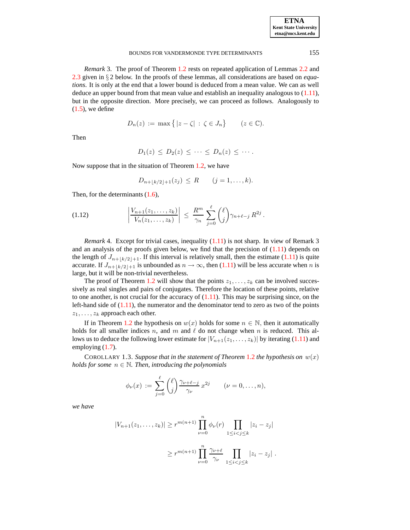| <b>ETNA</b>                  |
|------------------------------|
| <b>Kent State University</b> |
| etna@mcs.kent.edu            |

*Remark* 3. The proof of Theorem [1.2](#page-2-2) rests on repeated application of Lemmas [2.2](#page-5-0) and [2.3](#page-6-0) given in § 2 below. In the proofs of these lemmas, all considerations are based on *equations*. It is only at the end that a lower bound is deduced from a mean value. We can as well deduce an upper bound from that mean value and establish an inequality analogous to [\(1.11\)](#page-2-1), but in the opposite direction. More precisely, we can proceed as follows. Analogously to  $(1.5)$ , we define

$$
D_n(z) := \max\{|z - \zeta| : \zeta \in J_n\} \qquad (z \in \mathbb{C}).
$$

Then

$$
D_1(z) \leq D_2(z) \leq \cdots \leq D_n(z) \leq \cdots.
$$

Now suppose that in the situation of Theorem [1.2,](#page-2-2) we have

$$
D_{n+\lfloor k/2\rfloor+1}(z_j) \leq R \qquad (j=1,\ldots,k).
$$

Then, for the determinants  $(1.6)$ ,

(1.12) 
$$
\left| \frac{V_{n+1}(z_1,\ldots,z_k)}{V_n(z_1,\ldots,z_k)} \right| \leq \frac{R^m}{\gamma_n} \sum_{j=0}^{\ell} {\ell \choose j} \gamma_{n+\ell-j} R^{2j}.
$$

*Remark* 4. Except for trivial cases, inequality  $(1.11)$  is not sharp. In view of Remark 3 and an analysis of the proofs given below, we find that the precision of  $(1.11)$  depends on the length of  $J_{n+\lfloor k/2\rfloor+1}$ . If this interval is relatively small, then the estimate [\(1.11\)](#page-2-1) is quite accurate. If  $J_{n+\lfloor k/2\rfloor+1}$  is unbounded as  $n \to \infty$ , then [\(1.11\)](#page-2-1) will be less accurate when n is large, but it will be non-trivial nevertheless.

The proof of Theorem [1.2](#page-2-2) will show that the points  $z_1, \ldots, z_k$  can be involved successively as real singles and pairs of conjugates. Therefore the location of these points, relative to one another, is not crucial for the accuracy of  $(1.11)$ . This may be surprising since, on the left-hand side of  $(1.11)$ , the numerator and the denominator tend to zero as two of the points  $z_1, \ldots, z_k$  approach each other.

If in Theorem [1.2](#page-2-2) the hypothesis on  $w(x)$  holds for some  $n \in \mathbb{N}$ , then it automatically holds for all smaller indices n, and m and  $\ell$  do not change when n is reduced. This allows us to deduce the following lower estimate for  $|V_{n+1}(z_1,\ldots,z_k)|$  by iterating [\(1.11\)](#page-2-1) and employing [\(1.7\)](#page-1-1).

<span id="page-3-0"></span>COROLLARY 1.3. Suppose that in the statement of Theorem [1.2](#page-2-2) the hypothesis on  $w(x)$ *holds* for some  $n \in \mathbb{N}$ . *Then, introducing the polynomials* 

$$
\phi_{\nu}(x) := \sum_{j=0}^{\ell} {\ell \choose j} \frac{\gamma_{\nu+\ell-j}}{\gamma_{\nu}} x^{2j} \qquad (\nu = 0, \ldots, n),
$$

*we have*

$$
|V_{n+1}(z_1, ..., z_k)| \ge r^{m(n+1)} \prod_{\nu=0}^n \phi_{\nu}(r) \prod_{1 \le i < j \le k} |z_i - z_j|
$$
  

$$
\ge r^{m(n+1)} \prod_{\nu=0}^n \frac{\gamma_{\nu+\ell}}{\gamma_{\nu}} \prod_{1 \le i < j \le k} |z_i - z_j|.
$$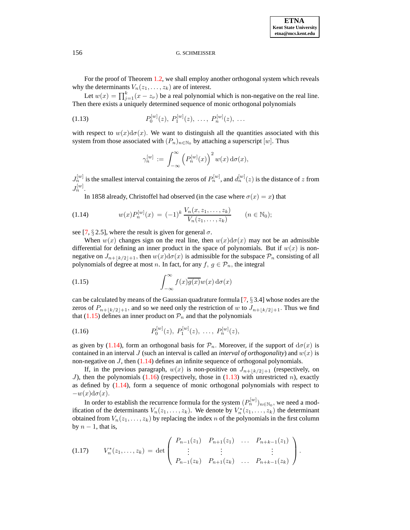**ETNA Kent State University etna@mcs.kent.edu**

For the proof of Theorem [1.2,](#page-2-2) we shall employ another orthogonal system which reveals why the determinants  $V_n(z_1, \ldots, z_k)$  are of interest.

Let  $w(x) = \prod_{j=1}^{k} (x - z_{\nu})$  be a real polynomial which is non-negative on the real line. Then there exists a uniquely determined sequence of monic orthogonal polynomials

<span id="page-4-3"></span>(1.13) 
$$
P_0^{[w]}(z), P_1^{[w]}(z), \ldots, P_n^{[w]}(z), \ldots
$$

with respect to  $w(x)d\sigma(x)$ . We want to distinguish all the quantities associated with this system from those associated with  $(P_n)_{n \in \mathbb{N}_0}$  by attaching a superscript [w]. Thus

$$
\gamma_n^{[w]} := \int_{-\infty}^{\infty} \left( P_n^{[w]}(x) \right)^2 w(x) d\sigma(x),
$$

 $J_n^{[w]}$  is the smallest interval containing the zeros of  $P_n^{[w]}$ , and  $d_n^{[w]}(z)$  is the distance of z from J  $[w]$  $n^{[w]}$ .

In 1858 already, Christoffel had observed (in the case where  $\sigma(x) = x$ ) that

<span id="page-4-1"></span>
$$
(1.14) \t w(x)P_n^{[w]}(x) = (-1)^k \frac{V_n(x, z_1, \dots, z_k)}{V_n(z_1, \dots, z_k)} \t (n \in \mathbb{N}_0);
$$

see [\[7,](#page-12-2) § 2.5], where the result is given for general  $\sigma$ .

When  $w(x)$  changes sign on the real line, then  $w(x)d\sigma(x)$  may not be an admissible differential for defining an inner product in the space of polynomials. But if  $w(x)$  is nonnegative on  $J_{n+\lfloor k/2\rfloor+1}$ , then  $w(x)d\sigma(x)$  is admissible for the subspace  $\mathcal{P}_n$  consisting of all polynomials of degree at most n. In fact, for any  $f, g \in \mathcal{P}_n$ , the integral

<span id="page-4-0"></span>(1.15) 
$$
\int_{-\infty}^{\infty} f(x)\overline{g(x)}w(x) d\sigma(x)
$$

can be calculated by means of the Gaussian quadrature formula  $[7, \S 3.4]$  $[7, \S 3.4]$  whose nodes are the zeros of  $P_{n+1k/2+1}$ , and so we need only the restriction of w to  $J_{n+1k/2+1}$ . Thus we find that [\(1.15\)](#page-4-0) defines an inner product on  $\mathcal{P}_n$  and that the polynomials

<span id="page-4-2"></span>(1.16) 
$$
P_0^{[w]}(z), P_1^{[w]}(z), \ldots, P_n^{[w]}(z),
$$

as given by [\(1.14\)](#page-4-1), form an orthogonal basis for  $\mathcal{P}_n$ . Moreover, if the support of  $d\sigma(x)$  is contained in an interval J (such an interval is called an *interval of orthogonality*) and  $w(x)$  is non-negative on  $J$ , then  $(1.14)$  defines an infinite sequence of orthogonal polynomials.

If, in the previous paragraph,  $w(x)$  is non-positive on  $J_{n+|k/2|+1}$  (respectively, on J), then the polynomials  $(1.16)$  (respectively, those in  $(1.13)$  with unrestricted n), exactly as defined by [\(1.14\)](#page-4-1), form a sequence of monic orthogonal polynomials with respect to  $-w(x)$ d $\sigma(x)$ .

In order to establish the recurrence formula for the system  $(P_n^{[w]})_{n\in\mathbb{N}_0},$  we need a modification of the determinants  $V_n(z_1,...,z_k)$ . We denote by  $V_n^*(z_1,...,z_k)$  the determinant obtained from  $V_n(z_1, \ldots, z_k)$  by replacing the index n of the polynomials in the first column by  $n - 1$ , that is,

<span id="page-4-4"></span>
$$
(1.17) \tV_n^*(z_1,\ldots,z_k) = \det \begin{pmatrix} P_{n-1}(z_1) & P_{n+1}(z_1) & \ldots & P_{n+k-1}(z_1) \\ \vdots & \vdots & & \vdots \\ P_{n-1}(z_k) & P_{n+1}(z_k) & \ldots & P_{n+k-1}(z_k) \end{pmatrix}.
$$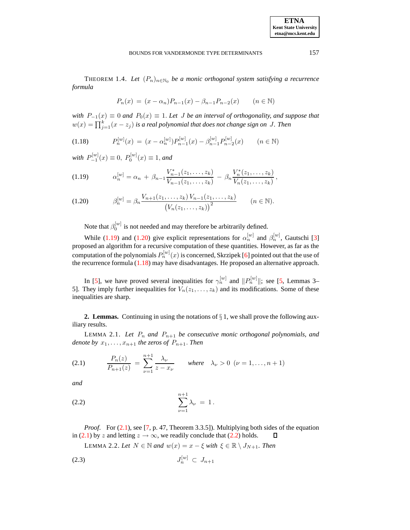<span id="page-5-7"></span>THEOREM 1.4. *Let*  $(P_n)_{n \in \mathbb{N}_0}$  *be a monic orthogonal system satisfying a recurrence formula*

$$
P_n(x) = (x - \alpha_n)P_{n-1}(x) - \beta_{n-1}P_{n-2}(x) \qquad (n \in \mathbb{N})
$$

*with*  $P_{-1}(x) \equiv 0$  *and*  $P_0(x) \equiv 1$ . Let *J* be *an interval of orthogonality, and suppose that*  $w(x) = \prod_{j=1}^{k} (x - z_j)$  is a real polynomial that does not change sign on J. Then

<span id="page-5-2"></span>
$$
(1.18) \qquad P_n^{[w]}(x) = (x - \alpha_n^{[w]}) P_{n-1}^{[w]}(x) - \beta_{n-1}^{[w]} P_{n-2}^{[w]}(x) \qquad (n \in \mathbb{N})
$$

 $with P_{-1}^{[w]}(x) \equiv 0, P_0^{[w]}(x) \equiv 1, and$ 

<span id="page-5-1"></span>
$$
(1.19) \t\t\t \alpha_n^{[w]} = \alpha_n + \beta_{n-1} \frac{V_{n-1}^*(z_1,\ldots,z_k)}{V_{n-1}(z_1,\ldots,z_k)} - \beta_n \frac{V_n^*(z_1,\ldots,z_k)}{V_n(z_1,\ldots,z_k)},
$$

$$
(1.20) \qquad \beta_n^{[w]} = \beta_n \frac{V_{n+1}(z_1, \ldots, z_k) V_{n-1}(z_1, \ldots, z_k)}{\left(V_n(z_1, \ldots, z_k)\right)^2} \qquad (n \in \mathbb{N}).
$$

Note that  $\beta_0^{[w]}$  is not needed and may therefore be arbitrarily defined.

While [\(1.19\)](#page-5-1) and [\(1.20\)](#page-5-1) give explicit representations for  $\alpha_n^{[w]}$  and  $\beta_n^{[w]}$ , Gautschi [\[3\]](#page-12-3) proposed an algorithm for a recursive computation of these quantities. However, as far as the computation of the polynomials  $P_n^{[w]}(x)$  is concerned, Skrzipek [\[6\]](#page-12-4) pointed out that the use of the recurrence formula [\(1.18\)](#page-5-2) may have disadvantages. He proposed an alternative approach.

In [\[5\]](#page-12-5), we have proved several inequalities for  $\gamma_n^{[w]}$  and  $||P_n^{[w]}||$ ; see [\[5,](#page-12-5) Lemmas 3– 5]. They imply further inequalities for  $V_n(z_1, \ldots, z_k)$  and its modifications. Some of these inequalities are sharp.

**2. Lemmas.** Continuing in using the notations of  $\S$  1, we shall prove the following auxiliary results.

<span id="page-5-6"></span>LEMMA 2.1. Let  $P_n$  and  $P_{n+1}$  be consecutive monic orthogonal polynomials, and *denote by*  $x_1, \ldots, x_{n+1}$  *the zeros of*  $P_{n+1}$ *. Then* 

<span id="page-5-3"></span>(2.1) 
$$
\frac{P_n(z)}{P_{n+1}(z)} = \sum_{\nu=1}^{n+1} \frac{\lambda_{\nu}}{z - x_{\nu}} \quad \text{where} \quad \lambda_{\nu} > 0 \ \ (\nu = 1, ..., n+1)
$$

*and*

<span id="page-5-4"></span>(2.2) 
$$
\sum_{\nu=1}^{n+1} \lambda_{\nu} = 1.
$$

<span id="page-5-0"></span>*Proof.* For [\(2.1\)](#page-5-3), see [\[7,](#page-12-2) p. 47, Theorem 3.3.5]). Multiplying both sides of the equation in [\(2.1\)](#page-5-3) by z and letting  $z \to \infty$ , we readily conclude that [\(2.2\)](#page-5-4) holds. 口

<span id="page-5-5"></span>LEMMA 2.2. Let  $N \in \mathbb{N}$  and  $w(x) = x - \xi$  with  $\xi \in \mathbb{R} \setminus J_{N+1}$ . Then

$$
(2.3) \t\t J_n^{[w]} \t\t C \t J_{n+1}
$$

**ETNA Kent State University etna@mcs.kent.edu**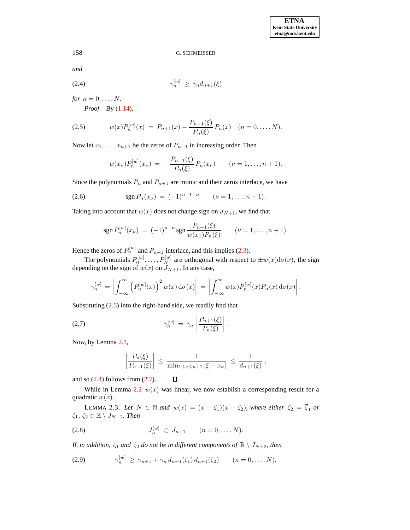<span id="page-6-2"></span>*and*

$$
\gamma_n^{[w]} \ge \gamma_n d_{n+1}(\xi)
$$

*for*  $n = 0, \ldots, N$ .

*Proof*. By [\(1.14\)](#page-4-1),

<span id="page-6-1"></span>
$$
(2.5) \t w(x)P_n^{[w]}(x) = P_{n+1}(x) - \frac{P_{n+1}(\xi)}{P_n(\xi)} P_n(x) \t (n = 0, ..., N).
$$

Now let  $x_1, \ldots, x_{n+1}$  be the zeros of  $P_{n+1}$  in increasing order. Then

$$
w(x_{\nu})P_n^{[w]}(x_{\nu}) = -\frac{P_{n+1}(\xi)}{P_n(\xi)}P_n(x_{\nu}) \qquad (\nu = 1,\ldots,n+1).
$$

<span id="page-6-4"></span>Since the polynomials  $P_n$  and  $P_{n+1}$  are monic and their zeros interlace, we have

(2.6) 
$$
\operatorname{sgn} P_n(x_\nu) = (-1)^{n+1-\nu} \qquad (\nu = 1, \ldots, n+1).
$$

Taking into account that  $w(x)$  does not change sign on  $J_{N+1}$ , we find that

$$
\operatorname{sgn} P_n^{[w]}(x_\nu) = (-1)^{n-\nu} \operatorname{sgn} \frac{P_{n+1}(\xi)}{w(x_1)P_n(\xi)} \qquad (\nu = 1, \ldots, n+1).
$$

Hence the zeros of  $P_n^{[w]}$  and  $P_{n+1}$  interlace, and this implies [\(2.3\)](#page-5-5).

The polynomials  $P_0^{[w]}, \ldots, P_N^{[w]}$  are orthogonal with respect to  $\pm w(x) d\sigma(x)$ , the sign depending on the sign of  $w(x)$  on  $J_{N+1}$ . In any case,

$$
\gamma_n^{[w]} = \left| \int_{-\infty}^{\infty} \left( P_n^{[w]}(x) \right)^2 w(x) \, \mathrm{d}\sigma(x) \right| = \left| \int_{-\infty}^{\infty} w(x) P_n^{[w]}(x) P_n(x) \, \mathrm{d}\sigma(x) \right|.
$$

Substituting [\(2.5\)](#page-6-1) into the right-hand side, we readily find that

$$
\gamma_n^{[w]} = \gamma_n \left| \frac{P_{n+1}(\xi)}{P_n(\xi)} \right|.
$$

Now, by Lemma [2.1,](#page-5-6)

<span id="page-6-3"></span>
$$
\left|\frac{P_n(\xi)}{P_{n+1}(\xi)}\right| \leq \frac{1}{\min_{1\leq \nu \leq n+1} |\xi - x_{\nu}|} \leq \frac{1}{d_{n+1}(\xi)},
$$

and so  $(2.4)$  follows from  $(2.7)$ .

While in Lemma [2.2](#page-5-0)  $w(x)$  was linear, we now establish a corresponding result for a quadratic  $w(x)$ .

<span id="page-6-0"></span>LEMMA 2.3. Let  $N \in \mathbb{N}$  and  $w(x) = (x - \zeta_1)(x - \zeta_2)$ , where *either*  $\zeta_2 = \overline{\zeta}_1$  or  $\zeta_1, \, \zeta_2 \in \mathbb{R} \setminus J_{N+2}$ *. Then* 

<span id="page-6-5"></span>(2.8) 
$$
J_n^{[w]} \subset J_{n+1} \qquad (n = 0, ..., N).
$$

<span id="page-6-6"></span>*If, in addition,*  $\zeta_1$  *and*  $\zeta_2$  *do not lie in different components of*  $\mathbb{R} \setminus J_{N+2}$ *, then* 

 $\Box$ 

$$
(2.9) \qquad \gamma_n^{[w]} \geq \gamma_{n+1} + \gamma_n d_{n+1}(\zeta_1) d_{n+1}(\zeta_2) \qquad (n = 0, \ldots, N).
$$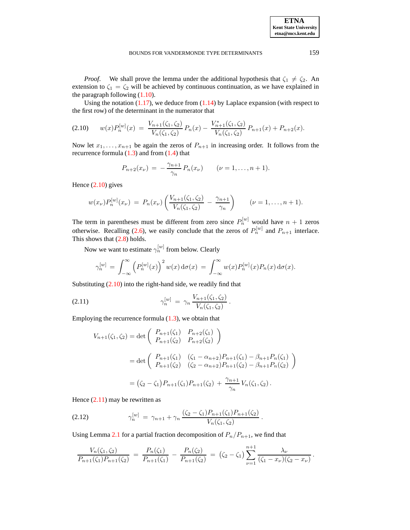*Proof.* We shall prove the lemma under the additional hypothesis that  $\zeta_1 \neq \zeta_2$ . An extension to  $\zeta_1 = \zeta_2$  will be achieved by continuous continuation, as we have explained in the paragraph following [\(1.10\)](#page-2-0).

Using the notation  $(1.17)$ , we deduce from  $(1.14)$  by Laplace expansion (with respect to the first row) of the determinant in the numerator that

<span id="page-7-0"></span>
$$
(2.10) \t w(x) P_n^{[w]}(x) = \frac{V_{n+1}(\zeta_1, \zeta_2)}{V_n(\zeta_1, \zeta_2)} P_n(x) - \frac{V_{n+1}^*(\zeta_1, \zeta_2)}{V_n(\zeta_1, \zeta_2)} P_{n+1}(x) + P_{n+2}(x).
$$

Now let  $x_1, \ldots, x_{n+1}$  be again the zeros of  $P_{n+1}$  in increasing order. It follows from the recurrence formula  $(1.3)$  and from  $(1.4)$  that

$$
P_{n+2}(x_{\nu}) = -\frac{\gamma_{n+1}}{\gamma_n} P_n(x_{\nu}) \qquad (\nu = 1, \ldots, n+1).
$$

Hence  $(2.10)$  gives

$$
w(x_{\nu})P_n^{[w]}(x_{\nu}) = P_n(x_{\nu})\left(\frac{V_{n+1}(\zeta_1,\zeta_2)}{V_n(\zeta_1,\zeta_2)} - \frac{\gamma_{n+1}}{\gamma_n}\right) \qquad (\nu = 1,\ldots,n+1).
$$

The term in parentheses must be different from zero since  $P_n^{[w]}$  would have  $n + 1$  zeros otherwise. Recalling [\(2.6\)](#page-6-4), we easily conclude that the zeros of  $P_n^{[w]}$  and  $P_{n+1}$  interlace. This shows that  $(2.8)$  holds.

Now we want to estimate  $\gamma_n^{[w]}$  from below. Clearly

<span id="page-7-1"></span>
$$
\gamma_n^{[w]} = \int_{-\infty}^{\infty} \left( P_n^{[w]}(x) \right)^2 w(x) d\sigma(x) = \int_{-\infty}^{\infty} w(x) P_n^{[w]}(x) P_n(x) d\sigma(x).
$$

Substituting  $(2.10)$  into the right-hand side, we readily find that

(2.11) 
$$
\gamma_n^{[w]} = \gamma_n \frac{V_{n+1}(\zeta_1, \zeta_2)}{V_n(\zeta_1, \zeta_2)}.
$$

Employing the recurrence formula  $(1.3)$ , we obtain that

$$
V_{n+1}(\zeta_1, \zeta_2) = \det \begin{pmatrix} P_{n+1}(\zeta_1) & P_{n+2}(\zeta_1) \\ P_{n+1}(\zeta_2) & P_{n+2}(\zeta_2) \end{pmatrix}
$$
  
= 
$$
\det \begin{pmatrix} P_{n+1}(\zeta_1) & (\zeta_1 - \alpha_{n+2})P_{n+1}(\zeta_1) - \beta_{n+1}P_n(\zeta_1) \\ P_{n+1}(\zeta_2) & (\zeta_2 - \alpha_{n+2})P_{n+1}(\zeta_2) - \beta_{n+1}P_n(\zeta_2) \end{pmatrix}
$$
  
= 
$$
(\zeta_2 - \zeta_1)P_{n+1}(\zeta_1)P_{n+1}(\zeta_2) + \frac{\gamma_{n+1}}{\gamma_n}V_n(\zeta_1, \zeta_2).
$$

Hence  $(2.11)$  may be rewritten as

<span id="page-7-2"></span>(2.12) 
$$
\gamma_n^{[w]} = \gamma_{n+1} + \gamma_n \frac{(\zeta_2 - \zeta_1) P_{n+1}(\zeta_1) P_{n+1}(\zeta_2)}{V_n(\zeta_1, \zeta_2)}.
$$

Using Lemma [2.1](#page-5-6) for a partial fraction decomposition of  $P_n/P_{n+1}$ , we find that

$$
\frac{V_n(\zeta_1,\zeta_2)}{P_{n+1}(\zeta_1)P_{n+1}(\zeta_2)} = \frac{P_n(\zeta_1)}{P_{n+1}(\zeta_1)} - \frac{P_n(\zeta_2)}{P_{n+1}(\zeta_2)} = (\zeta_2 - \zeta_1) \sum_{\nu=1}^{n+1} \frac{\lambda_\nu}{(\zeta_1 - x_\nu)(\zeta_2 - x_\nu)}.
$$

**ETNA Kent State University etna@mcs.kent.edu**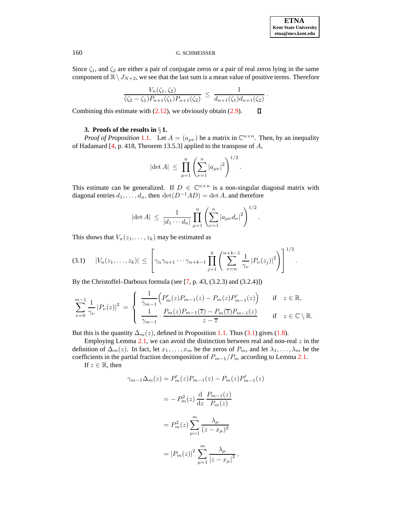Since  $\zeta_1$ , and  $\zeta_2$  are either a pair of conjugate zeros or a pair of real zeros lying in the same component of  $\mathbb{R}\setminus J_{N+2}$ , we see that the last sum is a mean value of positive terms. Therefore

$$
\frac{V_n(\zeta_1,\zeta_2)}{(\zeta_2-\zeta_1)P_{n+1}(\zeta_1)P_{n+1}(\zeta_2)} \leq \frac{1}{d_{n+1}(\zeta_1)d_{n+1}(\zeta_2)}.
$$

 $\Box$ Combining this estimate with [\(2.12\)](#page-7-2), we obviously obtain [\(2.9\)](#page-6-6).

### **3. Proofs of the results in** § **1.**

*Proof of Proposition* [1.1.](#page-1-4) Let  $A = (a_{\mu\nu})$  be a matrix in  $\mathbb{C}^{n \times n}$ . Then, by an inequality of Hadamard [\[4,](#page-12-6) p. 418, Theorem 13.5.3] applied to the transpose of A,

$$
|\det A| \ \leq \ \prod_{\mu=1}^n \left( \sum_{\nu=1}^n |a_{\mu\nu}|^2 \right)^{1/2}.
$$

This estimate can be generalized. If  $D \in \mathbb{C}^{n \times n}$  is a non-singular diagonal matrix with diagonal entries  $d_1, \ldots, d_n$ , then  $\det(D^{-1}AD) = \det A$ , and therefore

$$
|\det A| \ \leq \ \frac{1}{|d_1 \cdots d_n|} \prod_{\mu=1}^n \left( \sum_{\nu=1}^n |a_{\mu\nu} d_\nu|^2 \right)^{1/2}.
$$

This shows that  $V_n(z_1, \ldots, z_k)$  may be estimated as

<span id="page-8-0"></span>
$$
(3.1) \quad |V_n(z_1,\ldots,z_k)| \leq \left[\gamma_n \gamma_{n+1} \cdots \gamma_{n+k-1} \prod_{j=1}^k \left(\sum_{\nu=n}^{n+k-1} \frac{1}{\gamma_{\nu}} |P_{\nu}(z_j)|^2\right)\right]^{1/2}.
$$

By the Christoffel–Darboux formula (see  $[7, p. 43, (3.2.3)$  $[7, p. 43, (3.2.3)$  and  $(3.2.4)$ ])

$$
\sum_{\nu=0}^{m-1} \frac{1}{\gamma_{\nu}} |P_{\nu}(z)|^2 = \begin{cases} \frac{1}{\gamma_{m-1}} \Big( P_m'(z) P_{m-1}(z) - P_m(z) P_{m-1}'(z) \Big) & \text{if } z \in \mathbb{R}, \\ \frac{1}{\gamma_{m-1}} \cdot \frac{P_m(z) P_{m-1}(\overline{z}) - P_m(\overline{z}) P_{m-1}(z)}{z - \overline{z}} & \text{if } z \in \mathbb{C} \setminus \mathbb{R}. \end{cases}
$$

But this is the quantity  $\Delta_m(z)$ , defined in Proposition [1.1.](#page-1-4) Thus [\(3.1\)](#page-8-0) gives [\(1.8\)](#page-1-5).

Employing Lemma [2.1,](#page-5-6) we can avoid the distinction between real and non-real  $z$  in the definition of  $\Delta_m(z)$ . In fact, let  $x_1, \ldots, x_m$  be the zeros of  $P_m$ , and let  $\lambda_1, \ldots, \lambda_m$  be the coefficients in the partial fraction decomposition of  $P_{m-1}/P_m$  according to Lemma [2.1.](#page-5-6)

If  $z \in \mathbb{R}$ , then

$$
\gamma_{m-1}\Delta_m(z) = P'_m(z)P_{m-1}(z) - P_m(z)P'_{m-1}(z)
$$

$$
= -P_m^2(z)\frac{d}{dz}\frac{P_{m-1}(z)}{P_m(z)}
$$

$$
= P_m^2(z)\sum_{\mu=1}^m \frac{\lambda_\mu}{(z - x_\mu)^2}
$$

$$
= |P_m(z)|^2 \sum_{\mu=1}^m \frac{\lambda_\mu}{|z - x_\mu|^2},
$$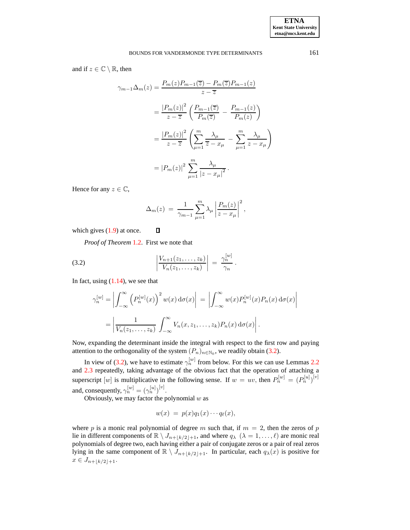and if  $z \in \mathbb{C} \setminus \mathbb{R}$ , then

$$
\gamma_{m-1}\Delta_m(z) = \frac{P_m(z)P_{m-1}(\overline{z}) - P_m(\overline{z})P_{m-1}(z)}{z - \overline{z}}
$$
  

$$
= \frac{|P_m(z)|^2}{z - \overline{z}} \left(\frac{P_{m-1}(\overline{z})}{P_m(\overline{z})} - \frac{P_{m-1}(z)}{P_m(z)}\right)
$$
  

$$
= \frac{|P_m(z)|^2}{z - \overline{z}} \left(\sum_{\mu=1}^m \frac{\lambda_\mu}{\overline{z} - x_\mu} - \sum_{\mu=1}^m \frac{\lambda_\mu}{z - x_\mu}\right)
$$
  

$$
= |P_m(z)|^2 \sum_{\mu=1}^m \frac{\lambda_\mu}{|z - x_\mu|^2}.
$$

Hence for any  $z \in \mathbb{C}$ ,

$$
\Delta_m(z) = \frac{1}{\gamma_{m-1}} \sum_{\mu=1}^m \lambda_\mu \left| \frac{P_m(z)}{z - x_\mu} \right|^2,
$$

which gives  $(1.9)$  at once.

<span id="page-9-0"></span>*Proof of Theorem* [1.2.](#page-2-2) First we note that

(3.2) 
$$
\left| \frac{V_{n+1}(z_1, \ldots, z_k)}{V_n(z_1, \ldots, z_k)} \right| = \frac{\gamma_n^{[w]}}{\gamma_n}.
$$

 $\Box$ 

In fact, using  $(1.14)$ , we see that

$$
\gamma_n^{[w]} = \left| \int_{-\infty}^{\infty} \left( P_n^{[w]}(x) \right)^2 w(x) \, d\sigma(x) \right| = \left| \int_{-\infty}^{\infty} w(x) P_n^{[w]}(x) P_n(x) \, d\sigma(x) \right|
$$

$$
= \left| \frac{1}{V_n(z_1, \ldots, z_k)} \int_{-\infty}^{\infty} V_n(x, z_1, \ldots, z_k) P_n(x) \, d\sigma(x) \right|.
$$

Now, expanding the determinant inside the integral with respect to the first row and paying attention to the orthogonality of the system  $(P_n)_{n \in \mathbb{N}_0}$ , we readily obtain [\(3.2\)](#page-9-0).

In view of [\(3.2\)](#page-9-0), we have to estimate  $\gamma_n^{[w]}$  from below. For this we can use Lemmas [2.2](#page-5-0) and [2.3](#page-6-0) repeatedly, taking advantage of the obvious fact that the operation of attaching a superscript  $[w]$  is multiplicative in the following sense. If  $w = uv$ , then  $P_n^{[w]} = (P_n^{[u]})^{[v]}$ and, consequently,  $\gamma_n^{[w]} = (\gamma_n^{[u]})^{[v]}$ .

Obviously, we may factor the polynomial  $w$  as

$$
w(x) = p(x)q_1(x)\cdots q_\ell(x),
$$

where p is a monic real polynomial of degree m such that, if  $m = 2$ , then the zeros of p lie in different components of  $\mathbb{R} \setminus J_{n+\lfloor k/2\rfloor+1}$ , and where  $q_\lambda$   $(\lambda = 1, \ldots, \ell)$  are monic real polynomials of degree two, each having either a pair of conjugate zeros or a pair of real zeros lying in the same component of  $\mathbb{R} \setminus J_{n+\lfloor k/2\rfloor+1}$ . In particular, each  $q_\lambda(x)$  is positive for  $x \in J_{n+|k/2|+1}.$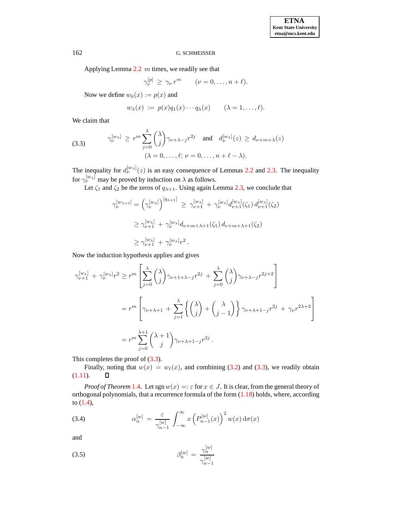Applying Lemma  $2.2 \, m$  $2.2 \, m$  times, we readily see that

$$
\gamma_{\nu}^{[p]} \geq \gamma_{\nu} r^m \qquad (\nu = 0, \ldots, n + \ell).
$$

Now we define  $w_0(x) := p(x)$  and

$$
w_{\lambda}(x) := p(x)q_1(x)\cdots q_{\lambda}(x) \qquad (\lambda = 1,\ldots,\ell).
$$

We claim that

<span id="page-10-0"></span>(3.3) 
$$
\gamma_{\nu}^{[w_{\lambda}]} \ge r^m \sum_{j=0}^{\lambda} {\lambda \choose j} \gamma_{\nu+\lambda-j} r^{2j} \text{ and } d_{\nu}^{[w_{\lambda}]}(z) \ge d_{\nu+m+\lambda}(z) (\lambda = 0, ..., \ell; \nu = 0, ..., n+\ell-\lambda).
$$

The inequality for  $d_{\nu}^{[w_{\lambda}]}(z)$  is an easy consequence of Lemmas [2.2](#page-5-0) and [2.3.](#page-6-0) The inequality for  $\gamma_{\nu}^{[w_{\lambda}]}$  may be proved by induction on  $\lambda$  as follows.

Let  $\zeta_1$  and  $\zeta_2$  be the zeros of  $q_{\lambda+1}$ . Using again Lemma [2.3,](#page-6-0) we conclude that

$$
\gamma_{\nu}^{[w_{\lambda+1}]} = (\gamma_{\nu}^{[w_{\lambda}]})^{[q_{\lambda+1}]} \geq \gamma_{\nu+1}^{[w_{\lambda}]} + \gamma_{\nu}^{[w_{\lambda}]} d_{\nu+1}^{[w_{\lambda}]}(\zeta_1) d_{\nu+1}^{[w_{\lambda}]}(\zeta_2)
$$
  
\n
$$
\geq \gamma_{\nu+1}^{[w_{\lambda}]} + \gamma_{\nu}^{[w_{\lambda}]} d_{\nu+m+\lambda+1}(\zeta_1) d_{\nu+m+\lambda+1}(\zeta_2)
$$
  
\n
$$
\geq \gamma_{\nu+1}^{[w_{\lambda}]} + \gamma_{\nu}^{[w_{\lambda}]} r^2.
$$

Now the induction hypothesis applies and gives

$$
\gamma_{\nu+1}^{[w_{\lambda}]} + \gamma_{\nu}^{[w_{\lambda}]} r^2 \ge r^m \left[ \sum_{j=0}^{\lambda} {\lambda \choose j} \gamma_{\nu+1+\lambda-j} r^{2j} + \sum_{j=0}^{\lambda} {\lambda \choose j} \gamma_{\nu+\lambda-j} r^{2j+2} \right]
$$
  
=  $r^m \left[ \gamma_{\nu+\lambda+1} + \sum_{j=1}^{\lambda} {\lambda \choose j} + {\lambda \choose j-1} \gamma_{\nu+\lambda+1-j} r^{2j} + \gamma_{\nu} r^{2\lambda+2} \right]$   
=  $r^m \sum_{j=0}^{\lambda+1} {\lambda+1 \choose j} \gamma_{\nu+\lambda+1-j} r^{2j}.$ 

This completes the proof of  $(3.3)$ .

Finally, noting that  $w(x) = w_{\ell}(x)$ , and combining [\(3.2\)](#page-9-0) and [\(3.3\)](#page-10-0), we readily obtain [\(1.11\)](#page-2-1).  $\Box$ 

*Proof of Theorem* [1.4.](#page-5-7) Let sgn  $w(x) = \varepsilon$  for  $x \in J$ . It is clear, from the general theory of orthogonal polynomials, that a recurrence formula of the form  $(1.18)$  holds, where, according to [\(1.4\)](#page-1-3),

<span id="page-10-1"></span>(3.4) 
$$
\alpha_n^{[w]} = \frac{\varepsilon}{\gamma_{n-1}^{[w]}} \int_{-\infty}^{\infty} x \left( P_{n-1}^{[w]}(x) \right)^2 w(x) d\sigma(x)
$$

and

(3.5) 
$$
\beta_n^{[w]} = \frac{\gamma_n^{[w]}}{\gamma_{n-1}^{[w]}}
$$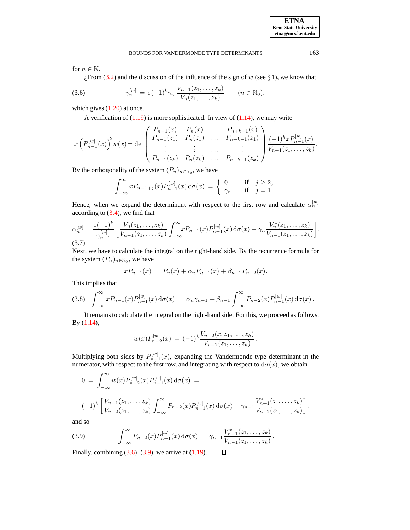#### BOUNDS FOR VANDERMONDE TYPE DETERMINANTS 163

for  $n \in \mathbb{N}$ .

 $\chi$ From [\(3.2\)](#page-9-0) and the discussion of the influence of the sign of w (see § 1), we know that

<span id="page-11-0"></span>(3.6) 
$$
\gamma_n^{[w]} = \varepsilon (-1)^k \gamma_n \frac{V_{n+1}(z_1, \dots, z_k)}{V_n(z_1, \dots, z_k)} \qquad (n \in \mathbb{N}_0),
$$

which gives  $(1.20)$  at once.

A verification of  $(1.19)$  is more sophisticated. In view of  $(1.14)$ , we may write

$$
x\left(P_{n-1}^{[w]}(x)\right)^2 w(x) = \det \begin{pmatrix} P_{n-1}(x) & P_n(x) & \dots & P_{n+k-1}(x) \\ P_{n-1}(z_1) & P_n(z_1) & \dots & P_{n+k-1}(z_1) \\ \vdots & \vdots & \ddots & \vdots \\ P_{n-1}(z_k) & P_n(z_k) & \dots & P_{n+k-1}(z_k) \end{pmatrix} \frac{(-1)^k x P_{n-1}^{[w]}(x)}{V_{n-1}(z_1, \dots, z_k)}.
$$

By the orthogonality of the system  $(P_n)_{n \in \mathbb{N}_0}$ , we have

$$
\int_{-\infty}^{\infty} x P_{n-1+j}(x) P_{n-1}^{[w]}(x) d\sigma(x) = \begin{cases} 0 & \text{if } j \ge 2, \\ \gamma_n & \text{if } j = 1. \end{cases}
$$

Hence, when we expand the determinant with respect to the first row and calculate  $\alpha_n^{[w]}$ according to [\(3.4\)](#page-10-1), we find that

$$
\alpha_n^{[w]} = \frac{\varepsilon(-1)^k}{\gamma_{n-1}^{[w]}} \left[ \frac{V_n(z_1,\ldots,z_k)}{V_{n-1}(z_1,\ldots,z_k)} \int_{-\infty}^{\infty} x P_{n-1}(x) P_{n-1}^{[w]}(x) d\sigma(x) - \gamma_n \frac{V_n^*(z_1,\ldots,z_k)}{V_{n-1}(z_1,\ldots,z_k)} \right].
$$
\n(3.7)

Next, we have to calculate the integral on the right-hand side. By the recurrence formula for the system  $(P_n)_{n \in \mathbb{N}_0}$ , we have

$$
xP_{n-1}(x) = P_n(x) + \alpha_n P_{n-1}(x) + \beta_{n-1} P_{n-2}(x).
$$

This implies that

$$
(3.8) \quad \int_{-\infty}^{\infty} x P_{n-1}(x) P_{n-1}^{[w]}(x) \, \mathrm{d}\sigma(x) \, = \, \alpha_n \gamma_{n-1} + \beta_{n-1} \int_{-\infty}^{\infty} P_{n-2}(x) P_{n-1}^{[w]}(x) \, \mathrm{d}\sigma(x) \, .
$$

It remainsto calculate the integral on the right-hand side. For this, we proceed as follows. By [\(1.14\)](#page-4-1),

$$
w(x)P_{n-2}^{[w]}(x) = (-1)^k \frac{V_{n-2}(x, z_1, \ldots, z_k)}{V_{n-2}(z_1, \ldots, z_k)}.
$$

Multiplying both sides by  $P_{n-1}^{[w]}(x)$ , expanding the Vandermonde type determinant in the numerator, with respect to the first row, and integrating with respect to  $d\sigma(x)$ , we obtain

$$
0 = \int_{-\infty}^{\infty} w(x) P_{n-2}^{[w]}(x) P_{n-1}^{[w]}(x) d\sigma(x) =
$$
  

$$
(-1)^k \left[ \frac{V_{n-1}(z_1, \ldots, z_k)}{V_{n-2}(z_1, \ldots, z_k)} \int_{-\infty}^{\infty} P_{n-2}(x) P_{n-1}^{[w]}(x) d\sigma(x) - \gamma_{n-1} \frac{V_{n-1}^*(z_1, \ldots, z_k)}{V_{n-2}(z_1, \ldots, z_k)} \right],
$$

 $\Box$ 

and so

<span id="page-11-1"></span>(3.9) 
$$
\int_{-\infty}^{\infty} P_{n-2}(x) P_{n-1}^{[w]}(x) d\sigma(x) = \gamma_{n-1} \frac{V_{n-1}^*(z_1, \dots, z_k)}{V_{n-1}(z_1, \dots, z_k)}.
$$

Finally, combining  $(3.6)$ – $(3.9)$ , we arrive at  $(1.19)$ .